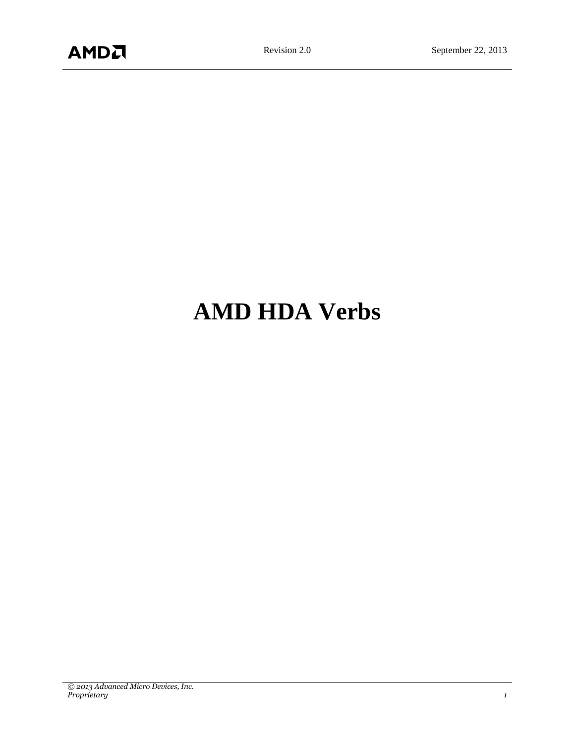# **AMD HDA Verbs**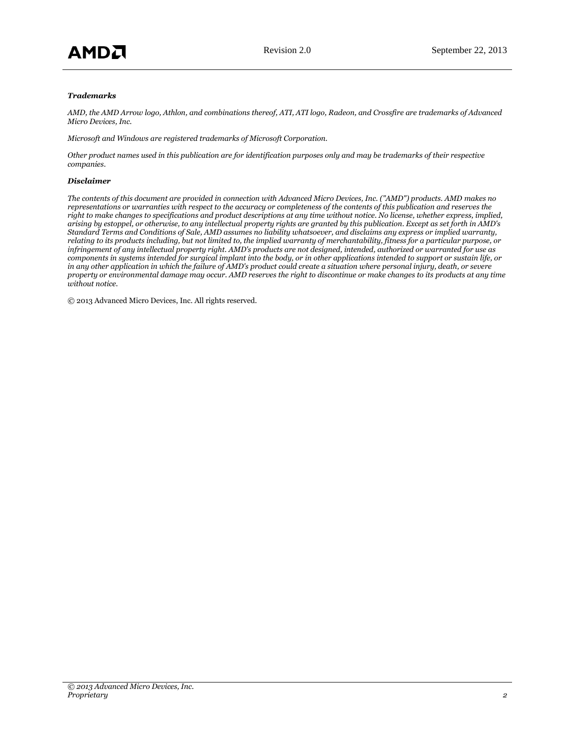#### *Trademarks*

*AMD, the AMD Arrow logo, Athlon, and combinations thereof, ATI, ATI logo, Radeon, and Crossfire are trademarks of Advanced Micro Devices, Inc.*

*Microsoft and Windows are registered trademarks of Microsoft Corporation.*

*Other product names used in this publication are for identification purposes only and may be trademarks of their respective companies.*

#### *Disclaimer*

*The contents of this document are provided in connection with Advanced Micro Devices, Inc. ("AMD") products. AMD makes no representations or warranties with respect to the accuracy or completeness of the contents of this publication and reserves the right to make changes to specifications and product descriptions at any time without notice. No license, whether express, implied, arising by estoppel, or otherwise, to any intellectual property rights are granted by this publication. Except as set forth in AMD's Standard Terms and Conditions of Sale, AMD assumes no liability whatsoever, and disclaims any express or implied warranty, relating to its products including, but not limited to, the implied warranty of merchantability, fitness for a particular purpose, or infringement of any intellectual property right. AMD's products are not designed, intended, authorized or warranted for use as components in systems intended for surgical implant into the body, or in other applications intended to support or sustain life, or*  in any other application in which the failure of AMD's product could create a situation where personal injury, death, or severe *property or environmental damage may occur. AMD reserves the right to discontinue or make changes to its products at any time without notice.*

© 2013 Advanced Micro Devices, Inc. All rights reserved.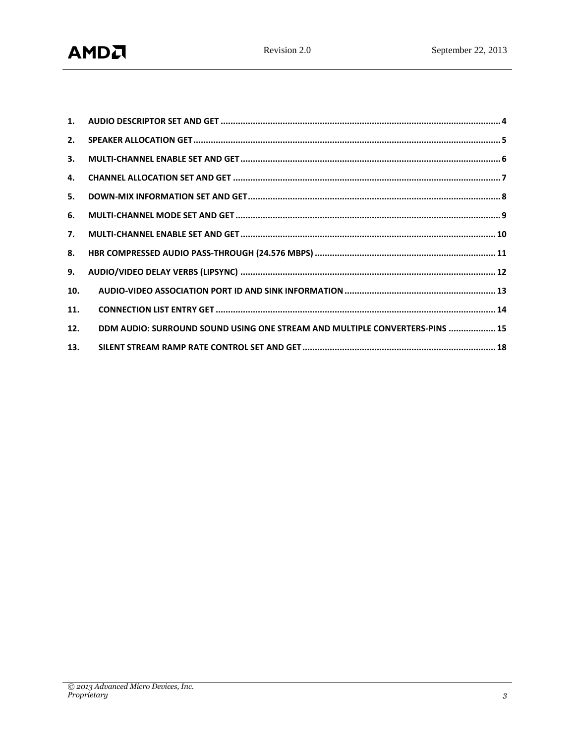| 3.  |                                                                             |
|-----|-----------------------------------------------------------------------------|
| 4.  |                                                                             |
| 5.  |                                                                             |
| 6.  |                                                                             |
| 7.  |                                                                             |
| 8.  |                                                                             |
| 9.  |                                                                             |
| 10. |                                                                             |
| 11. |                                                                             |
| 12. | DDM AUDIO: SURROUND SOUND USING ONE STREAM AND MULTIPLE CONVERTERS-PINS  15 |
| 13. |                                                                             |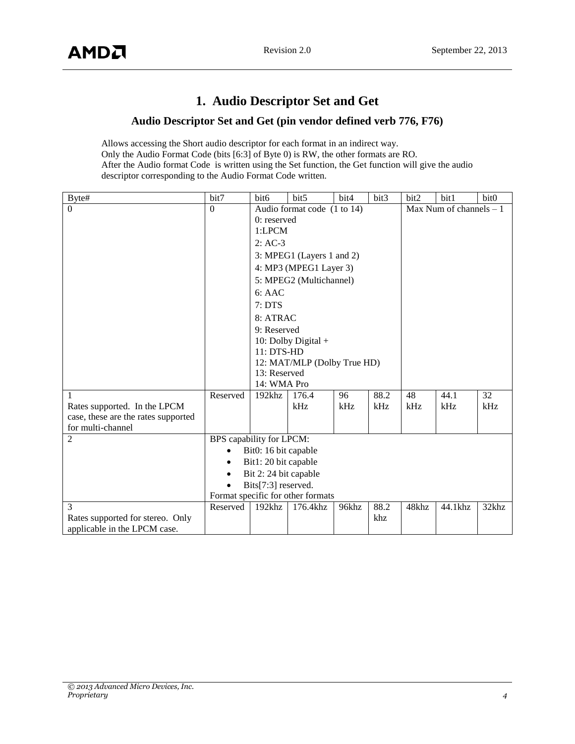## **1. Audio Descriptor Set and Get**

#### **Audio Descriptor Set and Get (pin vendor defined verb 776, F76)**

<span id="page-3-0"></span>Allows accessing the Short audio descriptor for each format in an indirect way. Only the Audio Format Code (bits [6:3] of Byte 0) is RW, the other formats are RO. After the Audio format Code is written using the Set function, the Get function will give the audio descriptor corresponding to the Audio Format Code written.

| Byte#                               | bit7                     | bit <sub>6</sub>                  | bit5                        | bit4  | bit3 | bit2  | bit1                     | bit0  |  |  |  |
|-------------------------------------|--------------------------|-----------------------------------|-----------------------------|-------|------|-------|--------------------------|-------|--|--|--|
| $\Omega$                            | $\Omega$                 |                                   | Audio format code (1 to 14) |       |      |       | Max Num of channels $-1$ |       |  |  |  |
|                                     |                          | $0:$ reserved                     |                             |       |      |       |                          |       |  |  |  |
|                                     |                          | 1:LPCM                            |                             |       |      |       |                          |       |  |  |  |
|                                     |                          | $2:AC-3$                          |                             |       |      |       |                          |       |  |  |  |
|                                     |                          |                                   | 3: MPEG1 (Layers 1 and 2)   |       |      |       |                          |       |  |  |  |
|                                     |                          |                                   | 4: MP3 (MPEG1 Layer 3)      |       |      |       |                          |       |  |  |  |
|                                     |                          |                                   | 5: MPEG2 (Multichannel)     |       |      |       |                          |       |  |  |  |
|                                     |                          | 6:AAC                             |                             |       |      |       |                          |       |  |  |  |
|                                     |                          | 7:DTS                             |                             |       |      |       |                          |       |  |  |  |
|                                     |                          | 8: ATRAC                          |                             |       |      |       |                          |       |  |  |  |
|                                     |                          | 9: Reserved                       |                             |       |      |       |                          |       |  |  |  |
|                                     |                          | 10: Dolby Digital +               |                             |       |      |       |                          |       |  |  |  |
|                                     |                          | 11: DTS-HD                        |                             |       |      |       |                          |       |  |  |  |
|                                     |                          |                                   | 12: MAT/MLP (Dolby True HD) |       |      |       |                          |       |  |  |  |
|                                     |                          | 13: Reserved                      |                             |       |      |       |                          |       |  |  |  |
|                                     |                          | 14: WMA Pro                       |                             |       |      |       |                          |       |  |  |  |
| 1                                   | Reserved                 | 192khz                            | 176.4                       | 96    | 88.2 | 48    | 44.1                     | 32    |  |  |  |
| Rates supported. In the LPCM        |                          |                                   | kHz                         | kHz   | kHz  | kHz   | kHz                      | kHz   |  |  |  |
| case, these are the rates supported |                          |                                   |                             |       |      |       |                          |       |  |  |  |
| for multi-channel                   |                          |                                   |                             |       |      |       |                          |       |  |  |  |
| $\overline{2}$                      | BPS capability for LPCM: |                                   |                             |       |      |       |                          |       |  |  |  |
|                                     | $\bullet$                | Bit0: 16 bit capable              |                             |       |      |       |                          |       |  |  |  |
|                                     |                          | Bit1: 20 bit capable              |                             |       |      |       |                          |       |  |  |  |
|                                     |                          | Bit 2:24 bit capable              |                             |       |      |       |                          |       |  |  |  |
|                                     |                          | Bits[7:3] reserved.               |                             |       |      |       |                          |       |  |  |  |
|                                     |                          | Format specific for other formats |                             |       |      |       |                          |       |  |  |  |
| 3                                   | Reserved                 | $192$ khz                         | 176.4khz                    | 96khz | 88.2 | 48khz | 44.1khz                  | 32khz |  |  |  |
| Rates supported for stereo. Only    |                          |                                   |                             |       | khz  |       |                          |       |  |  |  |
| applicable in the LPCM case.        |                          |                                   |                             |       |      |       |                          |       |  |  |  |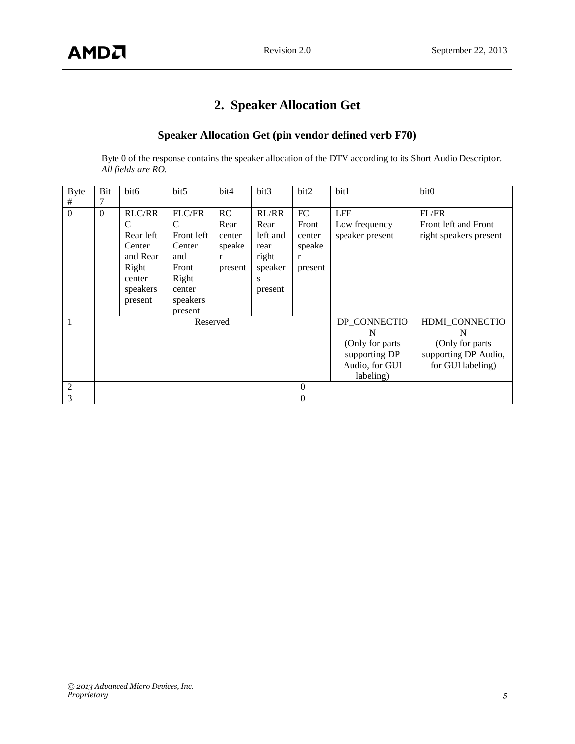# **2. Speaker Allocation Get**

## **Speaker Allocation Get (pin vendor defined verb F70)**

<span id="page-4-0"></span>Byte 0 of the response contains the speaker allocation of the DTV according to its Short Audio Descriptor. *All fields are RO.*

| <b>Byte</b><br># | Bit<br>7 | bit <sub>6</sub>                                                                                | bit5                                                                                                 | bit4                                           | bit3                                                                  | bit2                                            | bit1                                                                                  | bit0                                                                                 |
|------------------|----------|-------------------------------------------------------------------------------------------------|------------------------------------------------------------------------------------------------------|------------------------------------------------|-----------------------------------------------------------------------|-------------------------------------------------|---------------------------------------------------------------------------------------|--------------------------------------------------------------------------------------|
| $\boldsymbol{0}$ | $\Omega$ | <b>RLC/RR</b><br>С<br>Rear left<br>Center<br>and Rear<br>Right<br>center<br>speakers<br>present | <b>FLC/FR</b><br>C<br>Front left<br>Center<br>and<br>Front<br>Right<br>center<br>speakers<br>present | RC<br>Rear<br>center<br>speake<br>r<br>present | RL/RR<br>Rear<br>left and<br>rear<br>right<br>speaker<br>S<br>present | FC<br>Front<br>center<br>speake<br>r<br>present | <b>LFE</b><br>Low frequency<br>speaker present                                        | FL/FR<br>Front left and Front<br>right speakers present                              |
| 1                |          |                                                                                                 | Reserved                                                                                             |                                                |                                                                       |                                                 | DP CONNECTIO<br>N<br>(Only for parts)<br>supporting DP<br>Audio, for GUI<br>labeling) | HDMI_CONNECTIO<br>N<br>(Only for parts)<br>supporting DP Audio,<br>for GUI labeling) |
| $\overline{2}$   |          |                                                                                                 |                                                                                                      |                                                |                                                                       | $\overline{0}$                                  |                                                                                       |                                                                                      |
| 3                |          |                                                                                                 |                                                                                                      |                                                |                                                                       | $\overline{0}$                                  |                                                                                       |                                                                                      |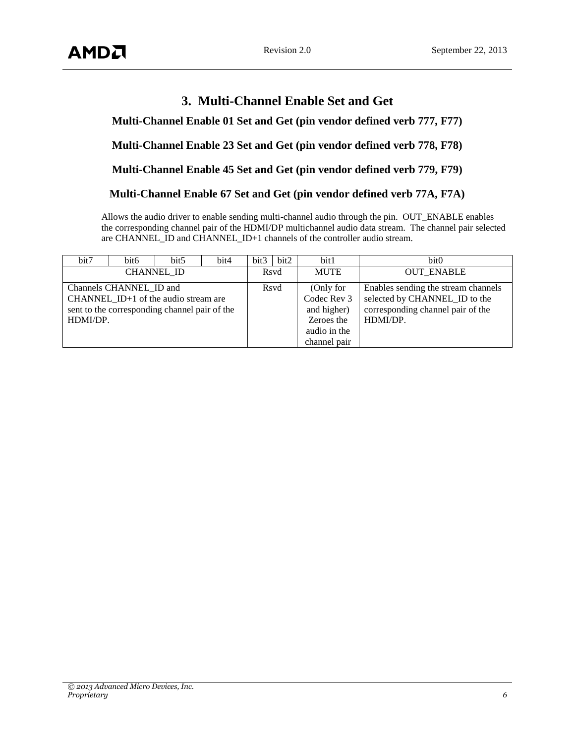## **3. Multi-Channel Enable Set and Get**

<span id="page-5-0"></span>**Multi-Channel Enable 01 Set and Get (pin vendor defined verb 777, F77)**

**Multi-Channel Enable 23 Set and Get (pin vendor defined verb 778, F78)**

**Multi-Channel Enable 45 Set and Get (pin vendor defined verb 779, F79)**

#### **Multi-Channel Enable 67 Set and Get (pin vendor defined verb 77A, F7A)**

Allows the audio driver to enable sending multi-channel audio through the pin. OUT\_ENABLE enables the corresponding channel pair of the HDMI/DP multichannel audio data stream. The channel pair selected are CHANNEL\_ID and CHANNEL\_ID+1 channels of the controller audio stream.

| bit7                                                                                                                           | bit <sub>6</sub> | bit <sub>5</sub> | bit4 | bit3 | bit2 | bit1                                                                                  | bit <sub>0</sub>                                                                                                      |
|--------------------------------------------------------------------------------------------------------------------------------|------------------|------------------|------|------|------|---------------------------------------------------------------------------------------|-----------------------------------------------------------------------------------------------------------------------|
| <b>CHANNEL ID</b>                                                                                                              |                  |                  |      |      | Rsyd | <b>MUTE</b>                                                                           | <b>OUT ENABLE</b>                                                                                                     |
| Channels CHANNEL ID and<br>CHANNEL $ID+1$ of the audio stream are<br>sent to the corresponding channel pair of the<br>HDMI/DP. |                  |                  |      |      | Rsvd | (Only for<br>Codec Rev 3<br>and higher)<br>Zeroes the<br>audio in the<br>channel pair | Enables sending the stream channels<br>selected by CHANNEL_ID to the<br>corresponding channel pair of the<br>HDMI/DP. |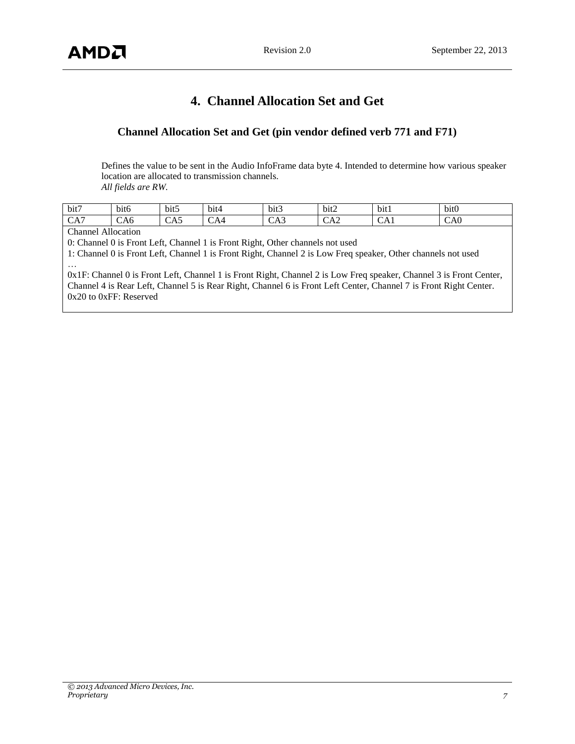## **4. Channel Allocation Set and Get**

## <span id="page-6-0"></span>**Channel Allocation Set and Get (pin vendor defined verb 771 and F71)**

Defines the value to be sent in the Audio InfoFrame data byte 4. Intended to determine how various speaker location are allocated to transmission channels. *All fields are RW.*

| bit7                      | .<br>b <sub>1</sub> | $\cdot$ . $\sim$<br>bit | bit4          | $\cdot$ $\cdot$<br>$_{\rm{DL}}$ | bit2                    | $\cdot$<br>$\mathbf{\cdot}$<br>bitl | $\cdots$<br>b <sub>1</sub> t <sub>0</sub> |
|---------------------------|---------------------|-------------------------|---------------|---------------------------------|-------------------------|-------------------------------------|-------------------------------------------|
| -<br>$\sim$ $\sim$<br>CA. | CA6                 | -<br>CA5                | $\sim$<br>CA4 | ິ້                              | $\Lambda$ $\cap$<br>∪A∠ | ິ                                   | $\sim$<br>$\cdot$ $\cdot$ $\sim$<br>CAU   |

#### Channel Allocation

0: Channel 0 is Front Left, Channel 1 is Front Right, Other channels not used

1: Channel 0 is Front Left, Channel 1 is Front Right, Channel 2 is Low Freq speaker, Other channels not used …

0x1F: Channel 0 is Front Left, Channel 1 is Front Right, Channel 2 is Low Freq speaker, Channel 3 is Front Center, Channel 4 is Rear Left, Channel 5 is Rear Right, Channel 6 is Front Left Center, Channel 7 is Front Right Center. 0x20 to 0xFF: Reserved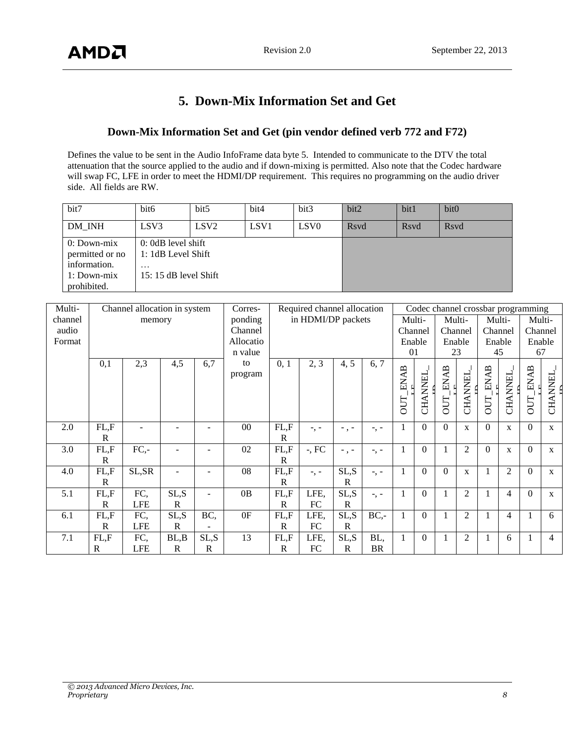## **5. Down-Mix Information Set and Get**

#### <span id="page-7-0"></span>**Down-Mix Information Set and Get (pin vendor defined verb 772 and F72)**

Defines the value to be sent in the Audio InfoFrame data byte 5. Intended to communicate to the DTV the total attenuation that the source applied to the audio and if down-mixing is permitted. Also note that the Codec hardware will swap FC, LFE in order to meet the HDMI/DP requirement. This requires no programming on the audio driver side. All fields are RW.

| bit7                                                                          | bit <sub>6</sub>                                                                 | bit <sub>5</sub> | bit4             | bit3         | bit2 | bit1 | bit <sub>0</sub> |
|-------------------------------------------------------------------------------|----------------------------------------------------------------------------------|------------------|------------------|--------------|------|------|------------------|
| DM INH                                                                        | LSV <sub>3</sub>                                                                 | LSV <sub>2</sub> | LSV <sub>1</sub> | <b>R</b> svd | Rsvd | Rsvd |                  |
| $0:Down-mix$<br>permitted or no<br>information.<br>1: Down-mix<br>prohibited. | $0:0dB$ level shift<br>1: 1dB Level Shift<br>$\cdots$<br>$15: 15$ dB level Shift |                  |                  |              |      |      |                  |

| Multi-  |              | Channel allocation in system |              |              | Corres-   |              | Required channel allocation |             |           |              |                |             |                |             |                | Codec channel crossbar programming |                |
|---------|--------------|------------------------------|--------------|--------------|-----------|--------------|-----------------------------|-------------|-----------|--------------|----------------|-------------|----------------|-------------|----------------|------------------------------------|----------------|
| channel |              | memory                       |              |              | ponding   |              | in HDMI/DP packets          |             |           |              | Multi-         |             | Multi-         |             | Multi-         | Multi-                             |                |
| audio   |              |                              |              |              | Channel   |              |                             |             |           |              | Channel        |             | Channel        | Channel     |                | Channel                            |                |
| Format  |              |                              |              |              | Allocatio |              |                             |             |           |              | Enable         |             | Enable         |             | Enable         | Enable                             |                |
|         |              |                              |              |              | n value   |              |                             |             |           | 01           |                |             | 23             | 45          |                | 67                                 |                |
|         | 0,1          | 2,3                          | 4,5          | 6,7          | to        | 0, 1         | 2, 3                        | 4, 5        | 6, 7      |              |                |             |                |             |                |                                    |                |
|         |              |                              |              |              | program   |              |                             |             |           | <b>ENAB</b>  |                | <b>ENAB</b> |                | <b>ENAB</b> |                | <b>ENAB</b>                        |                |
|         |              |                              |              |              |           |              |                             |             |           |              | <b>CHANNEL</b> |             | <b>CHANNEL</b> |             | <b>CHANNEL</b> |                                    | <b>CHANNEL</b> |
|         |              |                              |              |              |           |              |                             |             |           |              |                |             |                |             |                |                                    |                |
|         |              |                              |              |              |           |              |                             |             |           | <b>DUT</b>   |                | OUT         |                | OUT         |                | <b>OUT</b>                         |                |
|         |              |                              |              |              |           |              |                             |             |           |              |                |             |                |             |                |                                    |                |
| 2.0     | FL.F         |                              |              |              | $00\,$    | FL, F        | $-$ , $-$                   |             |           | 1            | $\Omega$       | $\Omega$    | X              | $\theta$    | X              | $\theta$                           | $\mathbf{X}$   |
|         | R            |                              |              |              |           | $\mathbb{R}$ |                             |             |           |              |                |             |                |             |                |                                    |                |
| 3.0     | FL, F        | $FC, -$                      |              |              | 02        | FL, F        | $-$ , FC                    | $-$ . $-$   | -, -      | 1            | $\theta$       | 1           | 2              | $\theta$    | $\mathbf{X}$   | $\theta$                           | $\mathbf{X}$   |
|         | R            |                              |              |              |           | $\mathbf{R}$ |                             |             |           |              |                |             |                |             |                |                                    |                |
| 4.0     | FL, F        | SL, SR                       |              |              | 08        | FL, F        | $-$ , $-$                   | SL,S        | $-$ , $-$ | 1            | $\theta$       | $\Omega$    | X              | 1           | $\overline{2}$ | $\theta$                           | $\mathbf{X}$   |
|         | $\mathbb{R}$ |                              |              |              |           | R            |                             | R           |           |              |                |             |                |             |                |                                    |                |
| 5.1     | FL, F        | FC,                          | SL, S        |              | 0B        | FL.F         | LFE,                        | SL,S        | $-$ , $-$ | 1            | $\Omega$       | 1           | 2              |             | 4              | $\theta$                           | $\mathbf{x}$   |
|         | R            | <b>LFE</b>                   | R            |              |           | $\mathbb{R}$ | FC                          | R           |           |              |                |             |                |             |                |                                    |                |
| 6.1     | FL, F        | FC,                          | SL, S        | BC,          | 0F        | FL.F         | LFE,                        | SL,S        | $BC$ -    | 1            | $\Omega$       | 1           | $\overline{2}$ |             | 4              |                                    | 6              |
|         | R            | <b>LFE</b>                   | $\mathbb{R}$ |              |           | $\mathbb{R}$ | ${\rm FC}$                  | $\mathbf R$ |           |              |                |             |                |             |                |                                    |                |
| 7.1     | FL.F         | FC,                          | BL,B         | SL, S        | 13        | FL, F        | LFE,                        | SL,S        | BL,       | $\mathbf{1}$ | $\theta$       |             | $\overline{2}$ |             | 6              |                                    | $\overline{4}$ |
|         | R            | <b>LFE</b>                   | R            | $\mathbb{R}$ |           | R            | FC                          | R           | <b>BR</b> |              |                |             |                |             |                |                                    |                |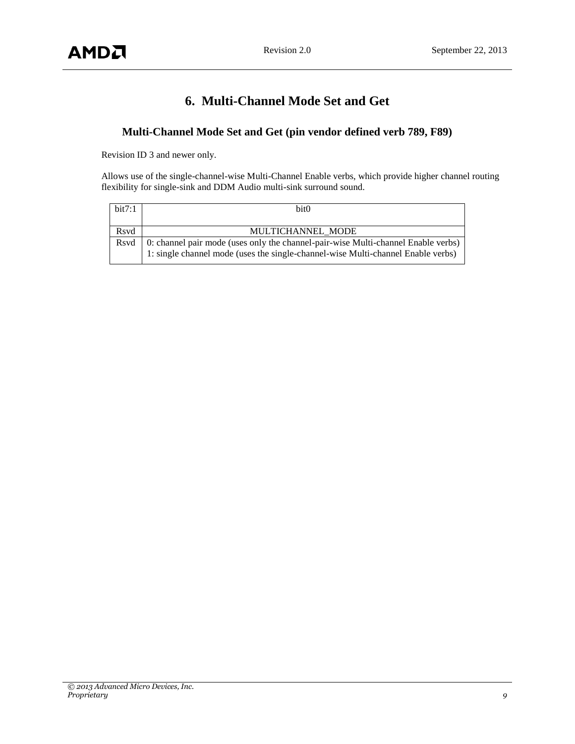## **6. Multi-Channel Mode Set and Get**

## <span id="page-8-0"></span>**Multi-Channel Mode Set and Get (pin vendor defined verb 789, F89)**

Revision ID 3 and newer only.

Allows use of the single-channel-wise Multi-Channel Enable verbs, which provide higher channel routing flexibility for single-sink and DDM Audio multi-sink surround sound.

| bit7:1 | bit <sub>0</sub>                                                                  |
|--------|-----------------------------------------------------------------------------------|
|        |                                                                                   |
| Rsyd   | MULTICHANNEL MODE                                                                 |
| Rsvd   | 0: channel pair mode (uses only the channel-pair-wise Multi-channel Enable verbs) |
|        | 1: single channel mode (uses the single-channel-wise Multi-channel Enable verbs)  |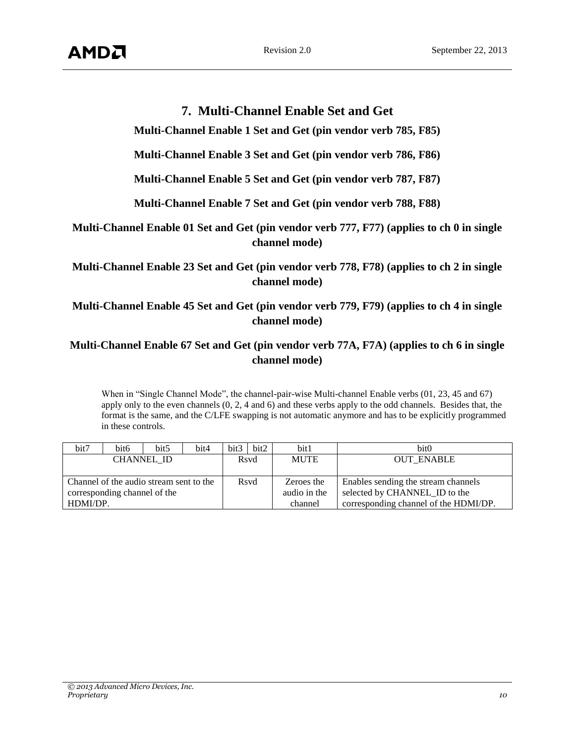## **7. Multi-Channel Enable Set and Get**

<span id="page-9-0"></span>**Multi-Channel Enable 1 Set and Get (pin vendor verb 785, F85)**

**Multi-Channel Enable 3 Set and Get (pin vendor verb 786, F86)**

**Multi-Channel Enable 5 Set and Get (pin vendor verb 787, F87)**

**Multi-Channel Enable 7 Set and Get (pin vendor verb 788, F88)**

**Multi-Channel Enable 01 Set and Get (pin vendor verb 777, F77) (applies to ch 0 in single channel mode)**

**Multi-Channel Enable 23 Set and Get (pin vendor verb 778, F78) (applies to ch 2 in single channel mode)**

**Multi-Channel Enable 45 Set and Get (pin vendor verb 779, F79) (applies to ch 4 in single channel mode)**

## **Multi-Channel Enable 67 Set and Get (pin vendor verb 77A, F7A) (applies to ch 6 in single channel mode)**

When in "Single Channel Mode", the channel-pair-wise Multi-channel Enable verbs (01, 23, 45 and 67) apply only to the even channels (0, 2, 4 and 6) and these verbs apply to the odd channels. Besides that, the format is the same, and the C/LFE swapping is not automatic anymore and has to be explicitly programmed in these controls.

| bit7                                    | bit <sub>6</sub> | bit <sub>5</sub> | bit4 | bit3 | bit2         | bit1                          | bit <sub>0</sub>                      |
|-----------------------------------------|------------------|------------------|------|------|--------------|-------------------------------|---------------------------------------|
| <b>CHANNEL ID</b>                       |                  |                  |      |      | Rsyd         | <b>MUTE</b>                   | <b>OUT ENABLE</b>                     |
|                                         |                  |                  |      |      |              |                               |                                       |
| Channel of the audio stream sent to the |                  |                  |      |      | Rsvd         | Zeroes the                    | Enables sending the stream channels   |
| corresponding channel of the            |                  |                  |      |      | audio in the | selected by CHANNEL ID to the |                                       |
| HDMI/DP.                                |                  |                  |      |      |              | channel                       | corresponding channel of the HDMI/DP. |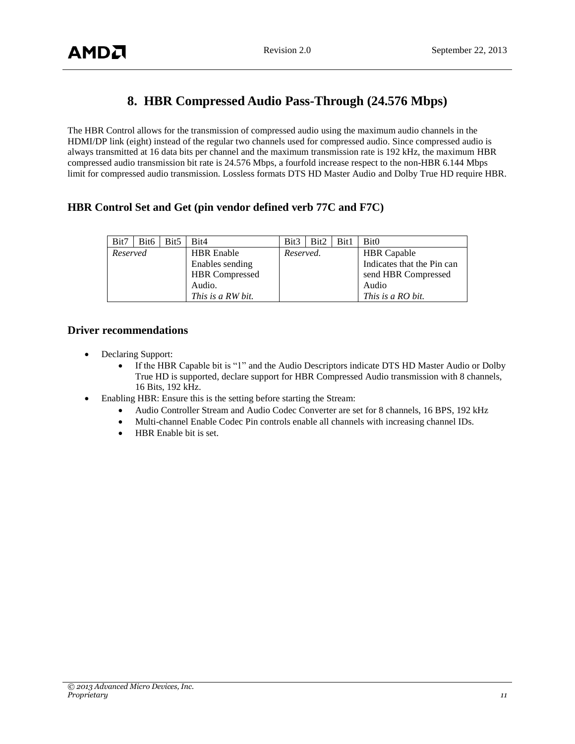## **8. HBR Compressed Audio Pass-Through (24.576 Mbps)**

<span id="page-10-0"></span>The HBR Control allows for the transmission of compressed audio using the maximum audio channels in the HDMI/DP link (eight) instead of the regular two channels used for compressed audio. Since compressed audio is always transmitted at 16 data bits per channel and the maximum transmission rate is 192 kHz, the maximum HBR compressed audio transmission bit rate is 24.576 Mbps, a fourfold increase respect to the non-HBR 6.144 Mbps limit for compressed audio transmission. Lossless formats DTS HD Master Audio and Dolby True HD require HBR.

#### **HBR Control Set and Get (pin vendor defined verb 77C and F7C)**

| Bit7     | Bit <sub>6</sub> | Bit5 | Bit4                  | Bit <sub>3</sub> | Bit2 | Bit1 | Bit <sub>0</sub>           |
|----------|------------------|------|-----------------------|------------------|------|------|----------------------------|
| Reserved |                  |      | <b>HBR</b> Enable     | Reserved.        |      |      | <b>HBR</b> Capable         |
|          |                  |      | Enables sending       |                  |      |      | Indicates that the Pin can |
|          |                  |      | <b>HBR</b> Compressed |                  |      |      | send HBR Compressed        |
|          |                  |      | Audio.                |                  |      |      | Audio                      |
|          |                  |      | This is a RW bit.     |                  |      |      | This is a RO bit.          |

#### **Driver recommendations**

- Declaring Support:
	- If the HBR Capable bit is "1" and the Audio Descriptors indicate DTS HD Master Audio or Dolby True HD is supported, declare support for HBR Compressed Audio transmission with 8 channels, 16 Bits, 192 kHz.
	- Enabling HBR: Ensure this is the setting before starting the Stream:
		- Audio Controller Stream and Audio Codec Converter are set for 8 channels, 16 BPS, 192 kHz
		- Multi-channel Enable Codec Pin controls enable all channels with increasing channel IDs.
		- HBR Enable bit is set.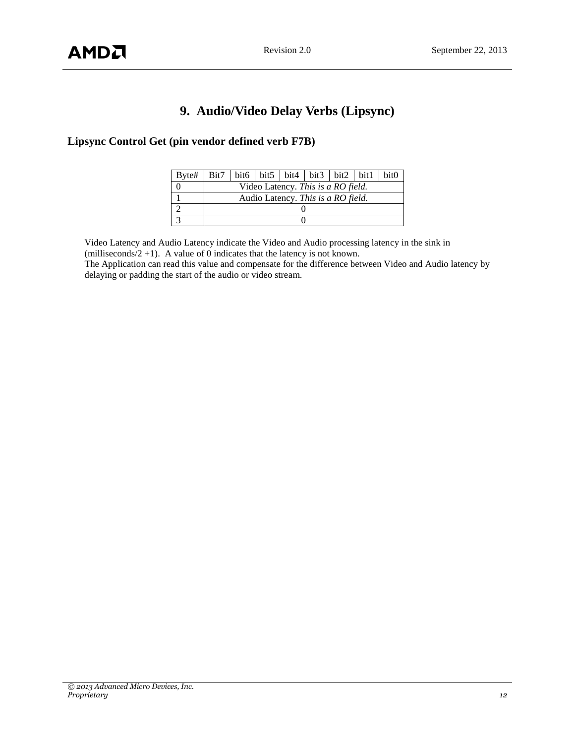# **9. Audio/Video Delay Verbs (Lipsync)**

## <span id="page-11-0"></span>**Lipsync Control Get (pin vendor defined verb F7B)**

| Byte# | Bit7 | bit6   bit5   bit4   bit3   bit2   bit1<br>bit <sub>0</sub> |  |  |  |  |  |  |  |  |  |  |
|-------|------|-------------------------------------------------------------|--|--|--|--|--|--|--|--|--|--|
|       |      | Video Latency. This is a RO field.                          |  |  |  |  |  |  |  |  |  |  |
|       |      | Audio Latency. This is a RO field.                          |  |  |  |  |  |  |  |  |  |  |
|       |      |                                                             |  |  |  |  |  |  |  |  |  |  |
|       |      |                                                             |  |  |  |  |  |  |  |  |  |  |

Video Latency and Audio Latency indicate the Video and Audio processing latency in the sink in (milliseconds/2 +1). A value of 0 indicates that the latency is not known. The Application can read this value and compensate for the difference between Video and Audio latency by

delaying or padding the start of the audio or video stream.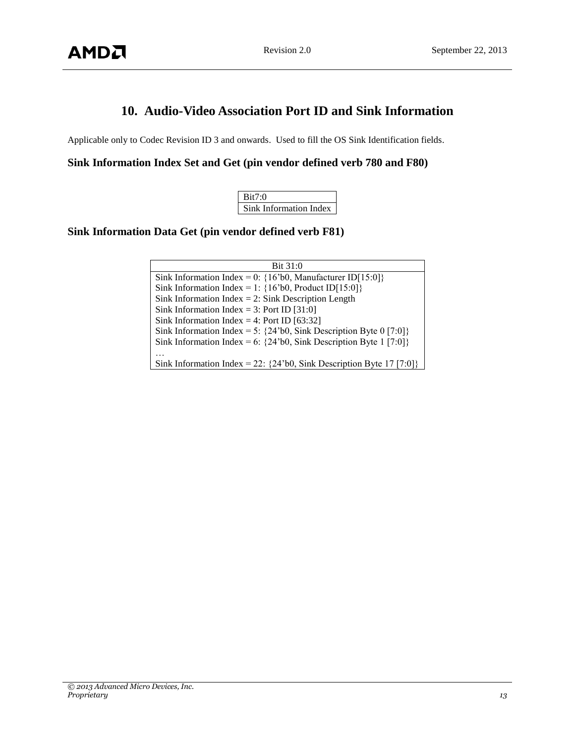## **10. Audio-Video Association Port ID and Sink Information**

<span id="page-12-0"></span>Applicable only to Codec Revision ID 3 and onwards. Used to fill the OS Sink Identification fields.

**Sink Information Index Set and Get (pin vendor defined verb 780 and F80)**

| Bit7:0                 |
|------------------------|
| Sink Information Index |

**Sink Information Data Get (pin vendor defined verb F81)**

| Bit 31:0                                                                                                      |
|---------------------------------------------------------------------------------------------------------------|
| Sink Information Index = 0: ${16^{\circ}b0}$ , Manufacturer ID[15:0]}                                         |
| Sink Information Index = 1: ${16^{\circ}b0}$ , Product ID[15:0]}                                              |
| Sink Information Index = 2: Sink Description Length                                                           |
| Sink Information Index = 3: Port ID [31:0]                                                                    |
| Sink Information Index = 4: Port ID [63:32]                                                                   |
| Sink Information Index = 5: $\{24\text{ b}0, \text{Sink} \text{ Description} \text{Byte } 0 \text{ [7:0]}\}\$ |
| Sink Information Index = 6: $\{24\text{ b}0, \text{Sink}$ Description Byte 1 [7:0]                            |
|                                                                                                               |
| Sink Information Index = 22: $\{24\text{ b}0, \text{Sink Description} \}$ Byte 17 [7:0]                       |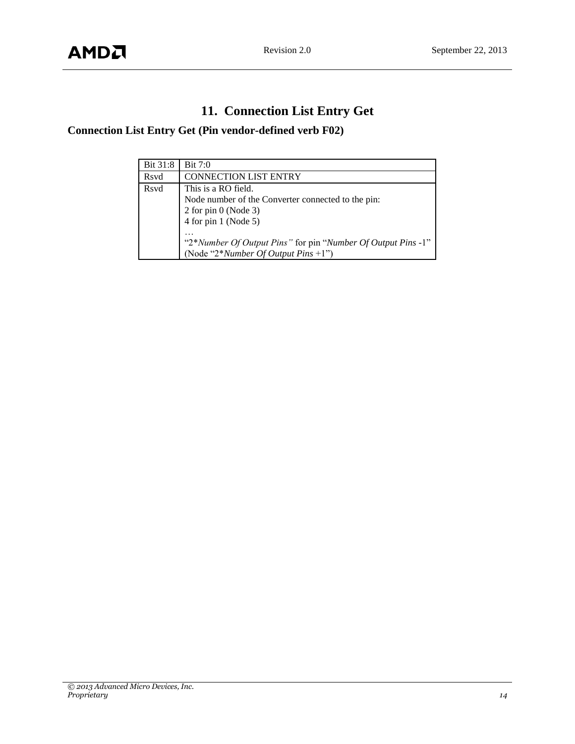# **11. Connection List Entry Get**

## <span id="page-13-0"></span>**Connection List Entry Get (Pin vendor-defined verb F02)**

| Bit 31:8    | Bit 7:0                                                                                                |
|-------------|--------------------------------------------------------------------------------------------------------|
| Rsvd        | <b>CONNECTION LIST ENTRY</b>                                                                           |
| <b>Rsvd</b> | This is a RO field.                                                                                    |
|             | Node number of the Converter connected to the pin:                                                     |
|             | $2$ for pin 0 (Node 3)                                                                                 |
|             | 4 for pin 1 (Node 5)                                                                                   |
|             | "2*Number Of Output Pins" for pin "Number Of Output Pins -1"<br>(Node "2*Number Of Output Pins $+1$ ") |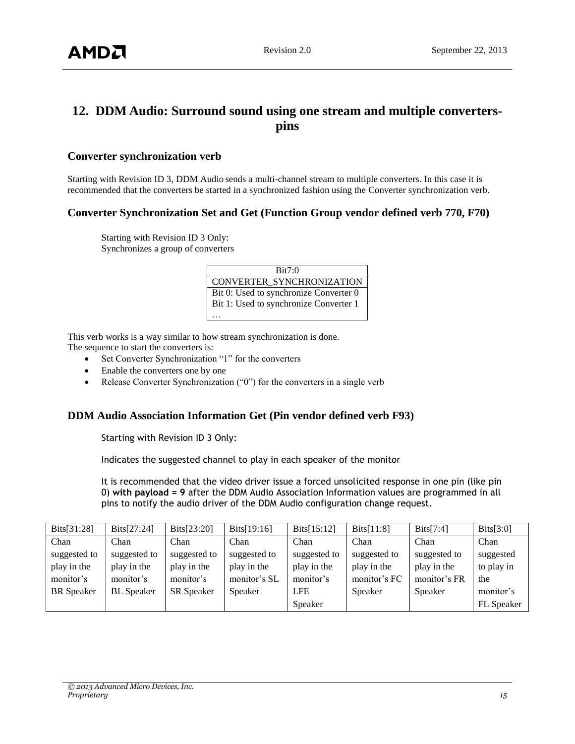## <span id="page-14-0"></span>**12. DDM Audio: Surround sound using one stream and multiple converterspins**

#### **Converter synchronization verb**

Starting with Revision ID 3, DDM Audio sends a multi-channel stream to multiple converters. In this case it is recommended that the converters be started in a synchronized fashion using the Converter synchronization verb.

#### **Converter Synchronization Set and Get (Function Group vendor defined verb 770, F70)**

Starting with Revision ID 3 Only: Synchronizes a group of converters

| Bit7:0                                 |
|----------------------------------------|
| CONVERTER SYNCHRONIZATION              |
| Bit 0: Used to synchronize Converter 0 |
| Bit 1: Used to synchronize Converter 1 |
|                                        |

This verb works is a way similar to how stream synchronization is done.

The sequence to start the converters is:

- Set Converter Synchronization "1" for the converters
- Enable the converters one by one
- Release Converter Synchronization ("0") for the converters in a single verb

#### **DDM Audio Association Information Get (Pin vendor defined verb F93)**

Starting with Revision ID 3 Only:

Indicates the suggested channel to play in each speaker of the monitor

It is recommended that the video driver issue a forced unsolicited response in one pin (like pin 0) **with payload = 9** after the DDM Audio Association Information values are programmed in all pins to notify the audio driver of the DDM Audio configuration change request.

| Bits[ $31:28$ ]   | Bits[ $27:24$ ]   | Bits[ $23:20$ ]   | Bits[ $19:16$ ] | Dist[15:12]  | Dist[11:8]   | Dist[7:4]    | Dist[3:0]  |
|-------------------|-------------------|-------------------|-----------------|--------------|--------------|--------------|------------|
| Chan              | Chan              | Chan              | Chan            | Chan         | Chan         | Chan         | Chan       |
| suggested to      | suggested to      | suggested to      | suggested to    | suggested to | suggested to | suggested to | suggested  |
| play in the       | play in the       | play in the       | play in the     | play in the  | play in the  | play in the  | to play in |
| monitor's         | monitor's         | monitor's         | monitor's SL    | monitor's    | monitor's FC | monitor's FR | the        |
| <b>BR</b> Speaker | <b>BL</b> Speaker | <b>SR</b> Speaker | Speaker         | <b>LFE</b>   | Speaker      | Speaker      | monitor's  |
|                   |                   |                   |                 | Speaker      |              |              | FL Speaker |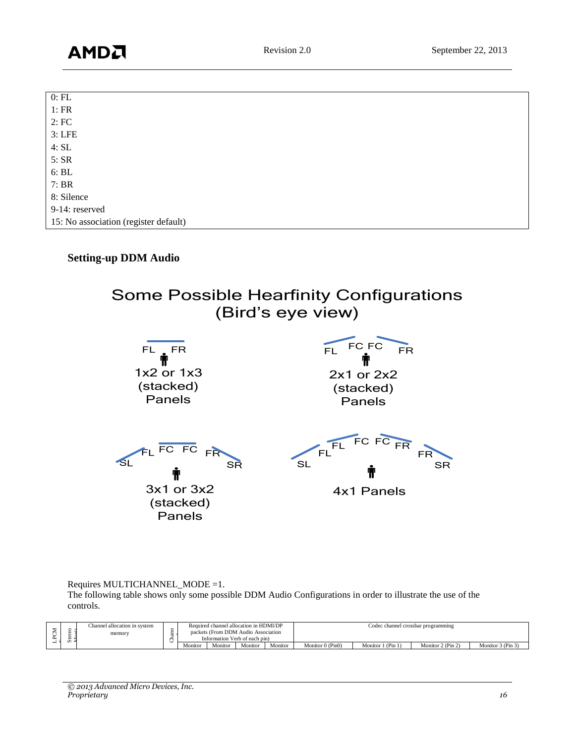| $0:$ FL                               |
|---------------------------------------|
| 1:FR                                  |
| 2:FC                                  |
| $3:$ LFE                              |
| 4:SL                                  |
| 5:SR                                  |
| $6:$ BL                               |
| 7:BR                                  |
| 8: Silence                            |
| 9-14: reserved                        |
| 15: No association (register default) |

#### **Setting-up DDM Audio**

Some Possible Hearfinity Configurations (Bird's eye view)



Requires MULTICHANNEL\_MODE =1.

The following table shows only some possible DDM Audio Configurations in order to illustrate the use of the controls.

|   |          | Channel allocation in system | Required channel allocation in HDMI/DP                               |         |         |         |                  |                   | Codec channel crossbar programming |                   |
|---|----------|------------------------------|----------------------------------------------------------------------|---------|---------|---------|------------------|-------------------|------------------------------------|-------------------|
|   | - 92. 10 | memory                       | packets (From DDM Audio Association<br>Information Verb of each pin) |         |         |         |                  |                   |                                    |                   |
| − |          |                              | Monitor                                                              | Monitor | Monitor | Monitor | Monitor 0 (Pin0) | Monitor 1 (Pin 1) | Monitor 2 (Pin 2)                  | Monitor 3 (Pin 3) |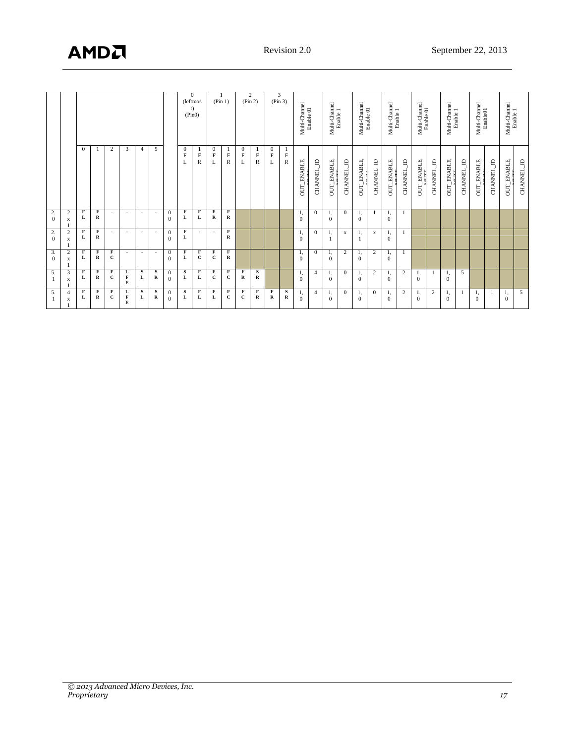| $\Omega$<br>X              | 2.<br>$\overline{\mathbf{c}}$<br>$\mathbf{0}$<br>X<br>2.<br>$\overline{c}$<br>$\Omega$<br>X<br>3.<br>$\overline{2}$ |                                   |                                          |
|----------------------------|---------------------------------------------------------------------------------------------------------------------|-----------------------------------|------------------------------------------|
| F<br>F<br>$\mathbf R$<br>L | F<br>F<br>R<br>L<br>F<br>F<br>R<br>L                                                                                | $\Omega$                          |                                          |
| F<br>$\mathbf{C}$          | $\sim$<br>$\sim$                                                                                                    | 2                                 |                                          |
| $\sim$                     | $\overline{\phantom{a}}$<br>$\sim$                                                                                  | 3                                 |                                          |
| $\overline{\phantom{a}}$   | $\overline{\phantom{a}}$<br>$\overline{\phantom{a}}$                                                                | 4                                 |                                          |
| $\overline{\phantom{a}}$   | $\overline{\phantom{a}}$<br>$\overline{\phantom{a}}$                                                                | 5                                 |                                          |
| $\mathbf{0}$<br>$\Omega$   | $\theta$<br>$\Omega$<br>$\mathbf{0}$<br>$\Omega$                                                                    |                                   |                                          |
| F<br>L                     | F<br>L<br>F<br>L                                                                                                    | $\theta$<br>$\mathbf{F}$          | $\mathbf{0}$<br>(leftmos<br>t)<br>(Pin0) |
| F<br>c                     | F<br>L<br>$\overline{\phantom{a}}$                                                                                  | F<br>R                            |                                          |
| F<br>$\mathbf{C}$          | F<br>$\mathbf R$<br>$\overline{\phantom{a}}$                                                                        | $\mathbf{0}$<br>$\mathbf F$<br>L  | (Pin 1)                                  |
| F<br>$\mathbf R$           | F<br>R<br>$\mathbf F$<br>R                                                                                          | 1<br>$\mathbf F$<br>R             |                                          |
|                            |                                                                                                                     | $\mathbf{0}$<br>$\mathbf{F}$<br>L | (Pin 2)                                  |
|                            |                                                                                                                     | $\mathbf F$<br>R                  | 2                                        |
|                            |                                                                                                                     | $\mathbf{0}$<br>$\mathbf F$<br>L  | (Pin 3)                                  |
|                            |                                                                                                                     | 1<br>$\mathbf F$<br>$\mathbb R$   | 3                                        |
| -1,<br>$\Omega$            | -1,<br>$\Omega$<br>1,<br>$\Omega$                                                                                   | <b>OUT_ENABLE</b>                 | Multi-Channel<br>Enable 01               |
| $\Omega$                   | $\mathbf{0}$<br>$\Omega$                                                                                            | <b>CHANNEL_ID</b>                 |                                          |
| 1,<br>$\mathbf{0}$         | 1,<br>$\mathbf{0}$<br>1,<br>1                                                                                       | <b>OUT_ENABLE</b>                 | Multi-Channel<br>Enable 1                |
| 2                          | $\mathbf{0}$<br>$\mathbf x$                                                                                         | <b>CHANNEL_ID</b>                 |                                          |
| $\mathbf{0}$               | $\Omega$<br>л,                                                                                                      | OUT_ENABLE                        | Multi-Channel<br>Enable 01               |
| 2                          | X                                                                                                                   | <b>CHANNEL_ID</b>                 |                                          |
| 1,<br>$\mathbf{0}$         | 1,<br>$\mathbf{0}$<br>1,<br>$\mathbf{0}$                                                                            | <b>OUT_ENABLE</b>                 | Multi-Channel<br>Enable 1                |
|                            |                                                                                                                     | Ą<br><b>CHANNEL</b>               |                                          |
|                            |                                                                                                                     | OUT_ENABLE                        | Multi-Channel<br>Enable 01               |
|                            |                                                                                                                     | <b>CHANNEL_ID</b>                 |                                          |
|                            |                                                                                                                     | <b>OUT_ENABLE</b>                 | Multi-Channel<br>Enable 1                |
|                            |                                                                                                                     | $\mathbf{r}$<br><b>CHANNEL</b>    |                                          |
|                            |                                                                                                                     | OUT_ENABLE                        | Multi-Channel<br>Enable01                |
|                            |                                                                                                                     | <b>CHANNEL_ID</b>                 |                                          |
|                            |                                                                                                                     | OUT_ENABLE,                       | Multi-Channel                            |
|                            |                                                                                                                     | CHANNEL_ID                        | Enable 1                                 |